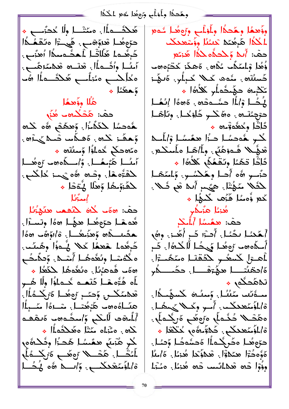وهَّدهُا وأَوْلَى وَرُوهُا هُو الْحُدُا

هَكُفُ هِمَٰلٌ. مَمَّتْسًا وِلًا يُحِنَّسِ \* دَوْهُـا هْـْوَوْهْبْ فَيْ—ْوَا هَدَّفْـهُا ا دِّبِهَْـه لا مَكْلاَتْـا ۚ الْـعثَـهمدُا ٱمدَّىبِ . أَمنُــا وِأَثَّــه اُلْ. قَنْـــه قَدْمَدْهُـــى. ەڭلُلىس ەمُلْلَسى ھُللْئَسماُا ھُت وَحْكَمُهُ \* حُلًا ووُّههُا حق: هُدْكُمُ هُنَّ هُنَّ هُوصِمًا لِلْكُلُّمَٰ: وَهِنَّفَتْ وَهُوَ كُلُّهِ ەڭھەكى ئەملۇا ۋىيىلەھ پ أَمِنُــا هَٰٓءُمُــا . وُّا ـــهُ٥٥ وَ٥ رُوهُــا لِكَفُّوهُمْا. وِصْهِ هُوَ صَمِنَ كُلِّكُمْ . لِحَفَزَوُمِعُا وَهِلَا لِمُتَوَاءِ إمىزٌئل حقّ: «هُ لَاهُ لِلْكَعْبِ هِلْكِيْتُلْ هُدهَــا حرَّوهُــا ههُــا هوُا وتســٱل. ھجَّىك كَلاھ وُھجُنھُك لِنَّ وَارَوُرُهُ وَ وَوَا دّْبِقُوما هَعْعُا كَلا لُهُوْا وِهُنَّب. ه كُفْسْا وِنُعْْفَعُا أَسْـك وَْحَكَّىكُـمْ هەّم فُومۇبُل. وبُعُوهُل كَكْعُل \* لَمْهِ قُتُوهَا كَنْعَـهِ يُحْمَلُوْا وِلًا هُــو قْدْمُكْسِ وُحِنْبِ وُوهُــا ةَرَبُكْــهُـاًا. هنَّـاهُ٥٥ڡ هُبْهُتَـا. مْــاهُ مَـٰبِلًا ٱلۡمَوۡفَ ٱلۡمَـٰٓكُم وٕۡۗٱمۡمَـُّدُوٰتَ وَۡتَقۡفِـد لاه . هنَّاه منَّنَّا ههَدْشُماًا \* كُرِ هُٰٓ;ۖتُم همُّسُـل هُدَٰۥٗا وِثُكْ۞ُومِ لْمُثْــا. هُـْـــلا رُوهُـــ هُرَكْـــهُلُمْ ة/لمُفَعْعَكْبِ . وَ/بِ هُ هُ هُ لِمُكْسَلِ

وؤُههُا وهُجِدًا وِلَمْوْلَبِ وَوُهْدَا شَوْمِ لمككُل هُرمُكُمْ تَعِينُلُ وَوُسْعِدِكُت حقَّ: أَبِيهِ وَجَحَدُهُ جَدُا هَٰٓ مَنْهُمْ وُهُا وَامْكُلُ عُلَاهِ. هُعِكَرْ كَتَبُوهِ كَسْلُلُهِ . مُنْهِ هَا كَلْلاً كُلْبِلُمٍ. هَا لَهُمْ عْلَامِنْ حَهُنفُولُم لَلأُهُ ﴾ لَمُحُــا وْاْلْمَا حِسْــەتْـهِ . هَهِهُا إِنْـهُــا حَوْجِئْتُـرَه . 50\$ كَبِر كَاوْجُــا. وتَاهْــا دَّاخًا وٖكُعُّەۊٌ ۞ ۞ كُــرِ هُـُوصِيُــا صـرُّا هِـمُّسُــا وْٱلْمِـــه هَيْبًا فُءِهُبُن وِلَمُ هَا مأسكم. دَٰاتْا تَـهَٰىٰا وِنَقَـمُكَٰى كَلاُهُا ﴾ دَّسرِ ۞ه أحـا وهَكْسُـرٍ. وَلِمَمْهَـا لْمَثَلًا سَّوُتًا. هَيُّ أَبْدُ مَّع فُلًا . لَّكُمْ وُمِثًا فَأَهَدَ كُلُّهَا \* هُن*نْ*ا هنَّكُر<br>حقّ: همَّسْا ٱلْمَكْرِ أَهَٰبْدَا بِحَبْا. أَجِبْنَ كَبِرٍ أُهَٰبَ. وَهُر أَسكُوهب وُوهُما فَي حُما لَا كُلْهُا. كُنْ ـأهــرْل كُـبْعُــر كْدُقْتْلْ مْمُعَّـــرَّا. تەھّجىگەر پ مىــةَئس مّنْسُل وّمىسُــة لْكَسوّْمــدًّا. ة/لمؤَمّكعلك، أسو وكملا يُهِمُّها. ەھۡڞَــلا ھُـدُّــٰمَلُو ەٶَھۡــى ەَرۡـُـُــٰمَلُو ۖ. أَهْلِلْوُسُعِدِكُم . كَلِأُرْوُهُ مِنْ يُخْلَقُلُ \* حرِّوهُـا وَحُرِيْـُـهِـاْ وَحِنَّوهُـا وَحِبَّـا. هُوُوحُتْزَا هِيَكُمْوْٓا. هُكُوْيْكِا هُوَيْنَا. هَ/سُّا وزُوْا دُه مْدْلْمُسْ دُه هُزْئَا. هِنْزَا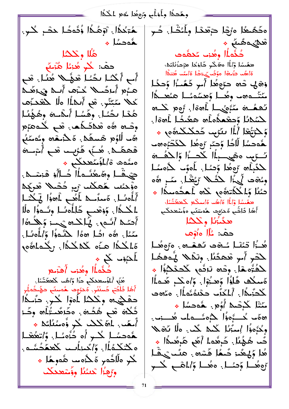وهَّدهُا وأَوْلَى وَرُوهُا هُو الْحُدُا ْهُتِكُمُّاً. ٱوْهُكُم<sup>ا</sup> وُثَّەصًا حَضْرِ كُـرٍ. ەكْھُىعُا ەرُجَا دېقىدْا وِلَمُنْشَا. كُــو ش بْنْتْ شْمَرْكْمْتْكَ \* هُەجسًا ﴾ دُفْماُ! وهُنِ مُدهُوف هُلا وتحكا همَّسُا وُ*ا*لُمَّا وَهُۚكُـرٍ كَـاوْكَا هرِّجزُنُائِكَا.<br>وَ*اهُ*ت حَبُّدةَا وَوِّضَــرَّحْتَ وَ*احْد* هُتكَ*ا* حق: كُمْ هُزْمًا هُّزْمَعُ أَبِ أَحْمَا بِحَبَا مَوْجِعًا هُنَا. مَنِ وْ۞ لَـ دَه حرِّهِهُا أُس كُعُــزُّا وُحكُـا هيڤري أسادُ لمن أن المستقام أباههم مَتَنْــدهـد وهُـــا وُهمّدَــا هنُعـــدًا كَمَلا مَبْتُنُو. هُم أَلَمْلًا هأَا كَتْعَدَمُه ئەم ئەزەنجى لەۋا. ئوم ئىس هُدْا ىحُىُا. وِهَٰىُا أَىٰٓاْتُ وهُهُنَا لمَسْمَلَا وُحِعْمِدُهُ أَن هِعَمَدًا لِمُوهَا. وِتْـهِ ۞ه شَدْكَـدُهـ. شَم كُـدْمَزْم وَحْجَتُهْا أَلَمَا بِنَوْبٍ حُجَكْتَكَتْوَهُ \* ھُ۔ لَّاؤُم شَمَعَکُہ ۚ ہُکْنِـٰمُہ وِخُمْتُو هُوصِمًا لَّاحًا وَحِبْرٍ رُوهُا ۖ كَكَتَبُوهِ ۖ قَعِمَـٰہٗ. هُـُزُ، فَرُبِــَ هُــمِ أَــْبِــة سُـرُب مڤيب{اً كُحــرُا وَالحَفُــة ەمئەھ ة/لۇسُعدلى ، لْمُدَٰٓبِٱهِ ۚ وَهُٰذَا وَٰٓصُدًا. لَمَٰوۡف لِمُنَّصَدَٰا حهَ قَا وِهَ حَفْسُماً الْكُلُّو فَرَسْكَ. ومُهْد أَيْهَٰا لِمَشَاحِ وَيُغْذَلِ مَدْعٍ هُو ەۋدىُىپ ھَەڭلىپ تْرَمْ دُشْمَلا شْرَبْكُمْ دْنُلْا وْلْمْكَلّْتْتّْوَى ݣْلْكْ لْمْخُومْلْدْ أَمَانُنَا. هَمِنَسِيمْ لَمَعْنِي لَمُعَوَّا لَمْ كَمْسَا هِمُسُلٍ وَإِلَمَّا وَأَهُمْ وَأَسْكُمْ كُعْعَتْنَا. ﻠﯩﯖﯩﮕﺎ. ﯙِﻓِજૈﯩﭗ ﺧَﻠﻠُّﻪﺋَـﺎ ﻭﺋَـﻪﻭُّﺍ ﻩﻟُّﺎ أَهُا دَاتَٰبَ هَدوٗت هُمننَبٍ هِ مُمْعَدَكَب أَصْـٰهُ أَنَّـٰهِ. يُملَّلُه يَ مِنْ وَلِكُـٰهُ ا هگُزُنُا وڭڭا حقَّ: عُلَّا وأَوْهَ مَعْبًا. ۞ه رجُل ۞ه اللَّـهوُّا وَٱلْمَعْبَا. هُــزُا تَـنُنْـا ـُــوْت نُـْـهْــو . هَزْهِهُــا مَالْحَدًا هَذَه كَمْكُدًا. رِجَّهَاهُم لِحْصُرِ أُسِ مُعْصَّلًا. وِتَمْلاً لِمُّعْصَلًا )<br>مگذوب کم \* لِكَفُتُوهَا. وِدْهِ نَائُو لَكُحِدْكُرْوُا \* دُخْماً أوهُن، أَقْتُبُمْ ِّ هُزَٰہِ ٱللۡوَٰٮنِعِیدِکُنِی ۖ جَآٰا وۡۡاَهُب کَعۡعَیۡتُنَا ٗاِ ۖ<br>اُهُا دَّاجَتِ جَسۡتُبُ ۚ ہَٰحَوُوج ۖ هُمنتُنِ حَهۡنَّصَةُ ۖ وَ ەَسكە ھَاوُّا وَهِ زُوْلَ. وَٱوْكُر هُـٰدِمَّا لَكْتُنِمُّا. ٱلْمُكَلُّ حَثْبُهُثُماًا. مَمْوَّ حفَيْحٍ وتَكْتُمَا لِمَوْا كُبِرٍ. حَنُكُمَا مَثْلَ كَرِثْنَكُمْ أُوُمْ. هُوَصِمًا \* ئَكْةَ مْعِ هُدُةٍ. ەَدَامُّدَّتْلُه وِدَّ ەەّمە ئىسۇەۋا كۆەئسىملە ئىسىزمى. أَمعًى. لِمَتَكَلَّفَ لَكُو وُّەمْئَلَائَكَ \* وكُرُووُا إِسْئِنَا لَّكُنِكُمْ لَكُبٍ. وَلَا نَتْوَىٰكُمْ هُەدىسُا كْبِر أَه دُوْمَا. وُٱتعُفْدا حٌب هُجُبُلْ. حُرِهُوما أَهُم هُرِهُدِهُلَّا \* ەڭتىكمال. ۆ/گىزلمىس كىھگىشە. هُا وَٰلِعَمْ: حَسْمًا هَنْتُمْ عَشْرَ فَلَمْ يَنْقُلْ كُر ەلَ*ا*دُەر ەَ دۇەس ھُە**وھَا \*** رُوهُــا وُحِنُــا. وهُــا وُاٰاهَــو كُـــو وَإِجْزًا تَنْسُلُا وَوُسْعَنْكُتْ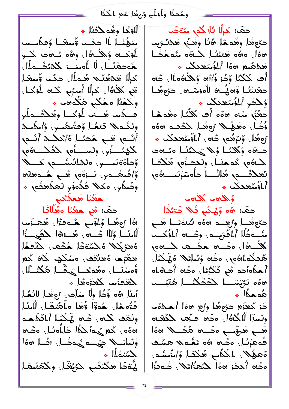وهَّدهُا ولَمُوْلَى وَرُوهُا هُو الْحُدُا

لَّافِكْل وَهُدَكْتُلْ ﴾ مَكَهُنَا لَمَ الْكَلْبِ وَّمِعْنَا وَقَدَّمَتِ لَمُوْتَدِهِ وَلِلْكُسُوا وِرُوهُ صُــْهُد كُــْمِر هُوحِفُنُــا. لَا لَمو مَـــز كَلانُفُــولَا. كَبِلًا شَكْفَتُكَ هُـءلًا. حَكَب وَّحقَا هَمِ كَلاَهُ!. كَبِلًا أُسبَّى كَلَّهَ لَمْفَلَّدَ. وكْمُلَا ەھُكْم ھُنَّدُوم \* فَعَلَمُتَ هُـــزَتَ لَمُؤْكَـــا وِهُكُتُّــوَلُمْ وِتْنُـهِ لا تْعَمُـلْ وِّقْتُمَــُـنِ. وَٱلْمُــدْ أَنَّــهِ هَـــم هُحنُــا هَ/تَــلــد أَنَّـــهِ كُلُّهِمْكُمْ وَتَسَلُّهُمْ لَمُشَكِّلِ وَهُمْ ۇھاۋةئىسىر. ەتكلئىشىمە كىسلا وَأَهُبِقُــو. تَــزَوُو رَهْبٍ هُــوهنَه وِكْتِكُمْرٍ. 20ْمَلَا قُلُّەوُّر تَتْعَكَّاهَدُهُمْ \* حكئا شمكتب حفَ: مْمِ هِعْمُا هِمَااَتْا هُا رُوهُــا وُلمْنَــم هُــوعْزَا. هُـمــزَمــ لْلْمِنْسَا وَإِلاَّا حْسِيهِ . هَسْدَرْهَا كَلْحَيْصِيةُ! هُمْرَبْلِلا هُكْسُوْدًا هُتُعٍ. كَنُعْهُا هكْتِمْ هْمْنْتْفْ. مْنْݣُلْ ݣْلْ هْ مْلْ وْْمِيْشَا. مِعْمِيْسَا يْهِ مَا مِّكْتَسْلَا. لمعْدَنِ لَاهِتُوهَا \* أمنًا هَ وَدًا وِلًا مُأْتٍ. وَهِ السَّلَاءُ السَّمَّا قُتُوهَا. هُوَرَّا رُّهْا وأُهْتَقَا. لَّاسُا وتُمْفَ لَكُمْ . مْـُمْ لِلْكُمْ أَلْمَكْلَمْـمْ هتَّه والمُعَالَمُ الْمُكَامِرُ مِنْ مِنْهِمْ وَهُمْ وُتُىلِئْمِينِ حَيْنِ صَرْحَةِ الْمُسَامَنِ وَالْمُسَامَنِينَ مَسَرَدَةٍ مِنْ الْمُسَامَنِينَ حمّتهُ أل \*

هِنْوَدًا مِكْتَمََى حَرْبُقُدًا. وِكَقَسُهْدَ

حفَ: كَرِلًا تَاالُكُمْ شَوْكُت حوّوهُا وهُدهَا هُنُا وهُنّي هَٰذَكّي 80 مِنْ مِنْ مِنْ الْمِنْكُمْ مِنْ مِنْ مِنْ هْدْهُبُمْ هِهُمْ أَلْمُؤْمَّعْدِكُمْ \* أُف كَكَمًا وَجِّز وُّٱآه وَكُلُّهُوماً!. دُه حعْننُـا وْھِيُّـة الْأُوفِـْـه . حرِّهِ هُــا وَلِكُمْ أَلْمُتَعْدِكُمْ \* حَفَّنَ مُنَّهَ 200 أُفْ كَلَّمُا وَهُوَهَا وَّحُـا. وَهُنُّــهُ وَوَهُــا كَــْـَـــهِ وَهُو وَوَهُا. وَبَرْشُومٍ دُهِ. أَلْمُؤْمَّنَعْدَكُتْ \* حدةه ومُكْلَمُهُ أَمِيلاً مِنْ الْمَثَلَ الْمَسْرَدِينَ لحدةُه، يُدهسُل. وتعصنُه، هُنْݣُصل تَعْكِثُـــم هُاتْـــا حاْمتْبُنُــــةُم أَلمَؤْمَنَعْدَلَكَ \* وَ بِاللَّهُ مِن كَلاَّتُهُ مِن حقًّا: 6ه وُلِيكُم ثُلا تَتَبُكُمُ حرِّهِ هُـــا ورُهِـــه هؤه سُّنهُ ـَــا هُـــو مُعْدَدُلَا ٱلْمَقَوَّىدِهِ وَحْسِرِهِ ٱلْمَؤْكَسِبَ كلاً وأن وتَ مدت مصر من المعروب هُدَكْمَاهُوب. ودُه وُتُىلِبْلا هُ لَكْتَا. أهكَمأهه هُم كُكْبُتَا. ودْه أَحْدَمَاه هَهُمْ تُهْتَبْسَا لِمُتَكَسَّا هُتَبَّب à sad كَنْ كَعَذَهِ حَوْهَٰذَا وِرُهِ 16% أَحْكَمُت وتسأل لَالْحُدُّا. ودْه فنُها كَخَعْدِه قب قَدِفَ ہے ۔ قد کَشَــــة هُا فُوهِ ُبِياً. ودْه ، وْ عْدُو لا هِنْد ەْھۆللا. لمْكْلُب ھُكْحْل وُّاسْئىف. هِ تَمْ أَحِدُ وَهُ الْمُعَزَّامَلاً . فَـودُّا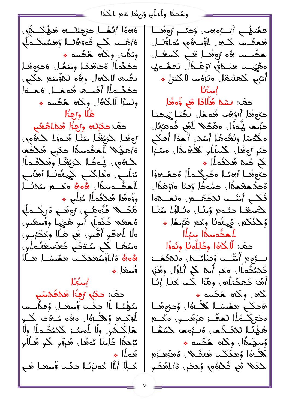وهَدمُا ولَمَوْلَى وَرُوهُا هُو الْحُدُا

ەُھەَ *الْمُطَّـ*ا حَرَّجْنُنَــه شَوْكُــكُمْ. ەُ/ھَــى كَــى دُەتەكــا وِّھسُىگــەلَى وبُكْمن وِكْلُه هُكْسُه ﴾ حكُثُماُ ا هَحْتِمْحْا مِمْعُا. هُحرُهِمُا يضُبِّعَهِ لِلْكَرْوَا. وَوَقَّقَ تَكْلُؤُمِّكُمْ لِمَكْنَبٍ. وتسأل لَّالحُثول. وكُلُّه هُكُسو \* هُلَّا وَرِّهِۥُا حف:حدؒبْته ورِّهْزًا شَمَاهُعُبِ رُوهُا كَرُبُقْا مَثْا هُـوْمَا كَـوْهِ، ة/ههُلا أَحثُهسمُا حدَّبٍ هَٰلأَتَع لِحَدَّةَ مِ. هُءكُما لِحَرْبُقْدا وِهُكِنَّدَهُا مُنِلَبٍ. مَكلِكُبٍ كَيْشُصُلِ أَهْنُبٍ لْمَشْــەممَاْل ۋەۋە ەڭلىم مَكانُـــا وؤُوهُا هُكْثُواْ ا مُزَاَّبٍ \* هُصْــا\ فُنُوهُب ِ. رُوهُب هُربُــْـملُم هُ هَقَلا دُنُّهُ أَمْرٍ شُيْ أَوْمُعَصَّلٍ هأَا لِمُهفَوِ أَقْسِ ثَقِي هَـٰلًا وِكَتَبْسٍ. ەمّھٔا كَے مّتوَّى كَعزَىمعُلُـُـەلُر. رُّەرُّە قَالمُؤْمَّى مَعْسَمَا مِسْلَم وَّسعْد پ إمبرٌ مُل حقَ: حَتَّىٰ رَّهِۥۢۤا مَّدْفَدْسُي مَكْهُمَا لَمَا حَكَب وَّمعْمَا. وِّقدَّست لَمُوْتَــدە وَݣْــدُهُا. دەۋە ئــەۋە گـــو هْلِنُكُمُو. ولَا لِمُعْسَنِ كَكْنُذَهُ إِلَّا وَلَا عُبْدِهَا خَلِيبًا عَمِّدًا. هُـرْوْبِ كُبِّ هَـلَابِ هُدءاُ \* كْـرِلًا ٱلْمَالُ يُدْتَرُنْـل حَكْب وُّحْقَـل قَبْ

فَعَنْهُمْ أَتْرَهُ وَمَا وَحَمْدٍ وَوَهُمْ ا هُمكَــب كَــره . لمُؤَــرهُ مِ شَاؤُتَــلَ. هَـمَــــــــــ ۞ه وُوهُــــا هَــــح كَـــمعُـــا. ەھَپَّىپ ھىُلمۇْ، آۆھُـدَّا. تىھىمى أَتْرَى كَحْشَقَا. مَنْزَهُ مِنْ لَأَكْتَبَرَلَ \* امىئائا حفَ: بشكِ هَٰلَلاظُ هُم وُهِ هُل حوِّهِ هُذَا أَآوَهُ وَ هُوَ هُلْ. لَحُمُلْ كَحِمُلْ دَّىم لُهُوَٰا. وهُصْلاً لَمُع فُوعبُنَا. ه كُفْسًا وِنُعْْوَهُا أَسْمًا. أَهْوُا أُقطُم جَمْ رُوهُا. ݣْسْلُطْ ݣْلْاهْجْا. ومِنْجْرا كُمْ شَمْ هُلْثُمْلًا ﴾ حرِّهِ هُــا أَهمُــا مَحْرِيْــماْا هُحفّــهؤُا ەَحكَـعمْعكا. حىنُـەكْـا وِّصْا ەْتْوْھُكَا. دُكْبِ أَنتُــب تَدَحُمُـــع. وتَعـــدةا كَتْسِعْدَا حِئْدَمِ وُسُلَ. وسُلَوْءُ مَتْدَا وَحِكْكُمْ. يَحِبُدُنَا وَجُمْ هَٰذِهَا \* الْمَدُّمِيكَا مِتْكَ حفَّ: لَّاحُدُهُ! وكُلِلُّوبُ! وِنُوَوُّا ىسۇۋەر أَىتَئْسىد وِّصْلَمَّىك، ەنْكَاضَمْسْ; كَهْنُحْماً!. هكرٍ أَمه كُمْ أَمْلَوْ!. وِهُنِّي أَهَٰ: خَهجَٰ:لُمس وهُٰ: أَ كَبِ كُنْتَا إِنْتَا <u>لاه ولاه هَكْسه \*</u> ھَحكَـــم مَــُـــُـــا لِكَـــَــھُا. وَحرِّہِ مُـــا ەكْتِرْكْلْمُلَّا تْعْفَىز ھۇھُسىر. ەڭسەر هُهُنُا تَدَكَّفُ، ةَنْ وَهُ حَسَّقَا وَسَيَّىدًا. وِكَلَّهُ هََصَّمَهُ \* ݣْلْـْهَٰا وُهكّْكْبْ هْلْشّْكْلْ: ەْهْزُهْـزُمْ لِمْلَلًا هُم ثُلْاةُه، وُلِكُمْ: ةُالْمُكُــُو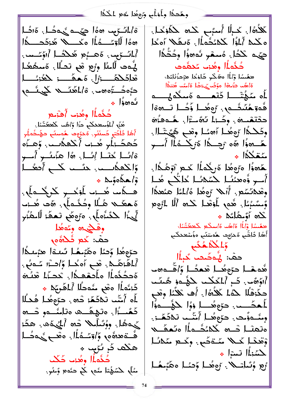وهَّدهُا وأَوْلَى وَرُوهُا هُو الْحُدُا

أَسْمَاهُ . لَكُمِرٌ صَرِّحَاهُ مِهِ جَنَّاهُ هِهُا لَٰٓاوۡ ۖ ـُـمَآا مَحْـــــــلا هَٰـٰٓدَحَـــــدًا اْلْمَـٰـٰٓٓٓٓ وَبِ ۖ وَ حَـٰٓ وَ مَحِـٰٓدَٰتُ ۖ وَ اَوۡ یَـٰٓٓٓ۔۔۔۔۔ لِمُّەت لَّالْمَا وِرُو هُم تَصَلَّا ٖ ەَسْھُعُـا، قْدَاكُحْكَمْ وَءُلْ. هُ هِ هُ فِي الْحَدْوُ الْمُسْلَمُ مِ مِنْ مِكْتَمَانَ وَالْمَكْتَبَ لَا يَجْمَعُونَ း ၂ှိရွှည် كُنْدَمُّا وهُن أَقْنِع هُزًى ٱلمُوَٰمعدكَــم ۚ دَٰا وَٚاهُــا كَعظَنَّـٰمًا.<br>اُهُا دَّاحَّـٰٓمٍ حَّـسُنُو. هَدْعَهِ حَقَصِنَّم حهَّـدَّدَمُو كُهكَـزَلُم هُــزت أَكْـدْهُالــت. وِّهـزُه ةائسا حُسْسا إنْسا. هَا هَنْسُو أُســو وَالْكَفَّاتِ، هَنَّتْ كُلُّمْ أَفْعُلُنَا  $\triangle$  A  $\delta$  oka $\delta$ ف كامت هُــــزت لمُوَجَـــو كَلـريْكـــملَّى. هُ هِقَمِيهِ ۚ هُمُ اللَّهِ وَحُثَّـهُ لَهٖ . وَهُ صَ هُــزَم أَيْءًا لِكُنُّوماً ، وَوَهَّعَ تَعْفَرُ لَّاحَفُو وقحثيره وتماهك حقّ كُمْ ثُلْاةُ مِ حرِّهِهُا وَمِمَّا مِمَّنِيهَا سُبِّهَا هِزَيْبِكَا كَمَاهَٰذِهَــدَ. هَبِ أَهكُما وَلَاصْرًا سُـهِبُ. هُحكُدُهاُ مأَحقههُا. تَحكُما هَنُّه دُنْدُماْ ا هِ مُدَدِّلًا ٱلْمَكْرِجُمْ \* لَم أَننُت تَدَكَّمُ; دُه . حرَّهِ هُـ أَعْمَلْهُ مَـ كَعُسْأَل وَتَهْدُّدِه وَتَأْشُدُو حْدِهِ جْمَعه . مِوْتَىلْمِلا دْھ أَلْمُ هُ مِنْ مِنْ هُــتوهر وَــوَهُ وَالْمَـدُهُمْ وَهُمَــوَهُمْ مِنْ وَهُمْ مِنْ وَهُمْ مِنْ وَهُمْ مِنْ وَجِدْ مِنْ هَكُمَا ثُمَّ نُؤْمِنا \* كُنْمَلُّا وهُزم كُكْب مُلْهِ حَمَّهُمَا مُّه كُمْ حَثَّهِ وَمِنُو.

كَلّْهَٰا. كَـرِلًا أُسبَّبِ كَـْ لَكَفَّوْكُـا. ه كَنْظَ أَبْلُوْا لَكُمْتُشْمَلًا . هُنْفُلا أَمْكُلْ كَهِمْ ۚ لَكُمَا. هُمْهُمْ نُوهُوُا وِحُثُّهُا ۖ كُنُّه أَلَّ وهُزِبَ كَحَقُّوت همَّسُا وْ)،أَا هَمْكُر كَاوْكُا هرْجَازُلْلَمْ.<br>كَاهُب حَبَّيهُا هوِّضَيْءَكُل كَاسُب هُتمَّا ﻠُﻪ ﻣَﻨُﻮْﺗْـــا ﻛَﻨْﻌــــﻪ ەັﻣﯩﮕﻪﻟﻰــــﻪ فُەقھُنَىڤُــە }. {وقُــا وَّـُــا تَــەةا حقتقده وحُـزا تَهُـتْزَا وَهُـوَرْه وكَكْمًا رُوهُـا أَهْـَا وِتْبٍ هَيْشَالٍ. هَـــووُّا هَــو آهــــوا هُرَبِكَـــهُ/ أُمــــو يتمككا به هَدُووًا وَوَهُدا وَرِيْكُماْ! كُلْعَ آوْهُـٰٰهَا. أُسو ؤُهِعْنُا لِمُتَمَثَّا كُلِّكُم هُـا وِهْدْئُمُّسْمَ ﴾ ٱلْمَلاَ رُوهُا وُالْمَامَ هَنْعَدُا أَوَّسْنَبْنَا. هُدِ أَوْهْدا كُلُّه ٱلْأَلْمَارُوم | لَاهِ أَوْحَامُكُمْ \* هغَسًا وْالْمَا هَاهُم هَاسْكُمْ كَعْعَقْتُنَا. أَهُا دَٰاضَّے ہٗدوٗی حُہتنَٰے ہوَٰمُعدكے وَالْمَدْمُنَى حقه: هُوَهُمَا لَهُمْ الْمَرْكُمُ هُدهَــا حرّوهُــا هُعصُــا وُٱقَــدهت أَاوَّهُم، كَمْ أَلْمُكْمَد كَلُّوْمَ هُنَّمَ حدّْقُلًا حَمَّا لَمَكْهَا. أَفَّ تَكْتَا وِمْحِ أَهضُــب. دوّعهُـــا وَوُا ۖ حَقَّـــهوّا وِمْسُوَوُّىت. دَوْوِهُمَا أَمْثَىت لَكَلَّصَةَ. ەتھنىل ئىس كلائچىمال ەئمۇسى وْقْدْلْ كْبْلّْ مْتْوَضّْعْ. وْكُبْعْ مْكْلْتْ | حمّناً السراء رُعِ وُتَىلِسَكَ. رُوهُما وَصُلْهُ وهُبُمُما